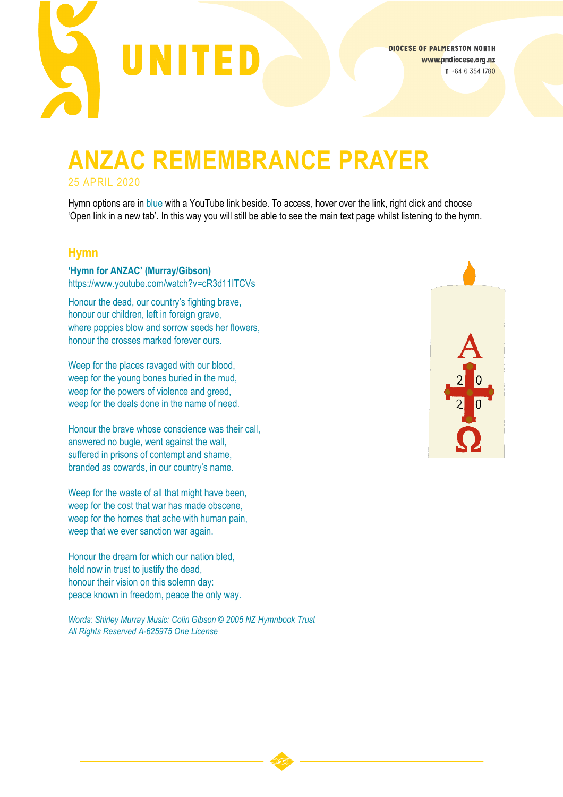

# **ANZAC REMEMBRANCE PRAYER** 25 APRIL 2020

Hymn options are in blue with a YouTube link beside. To access, hover over the link, right click and choose 'Open link in a new tab'. In this way you will still be able to see the main text page whilst listening to the hymn.

#### **Hymn**

**'Hymn for ANZAC' (Murray/Gibson)** <https://www.youtube.com/watch?v=cR3d11ITCVs>

Honour the dead, our country's fighting brave, honour our children, left in foreign grave, where poppies blow and sorrow seeds her flowers, honour the crosses marked forever ours.

Weep for the places ravaged with our blood, weep for the young bones buried in the mud, weep for the powers of violence and greed, weep for the deals done in the name of need.

Honour the brave whose conscience was their call, answered no bugle, went against the wall, suffered in prisons of contempt and shame, branded as cowards, in our country's name.

Weep for the waste of all that might have been, weep for the cost that war has made obscene, weep for the homes that ache with human pain, weep that we ever sanction war again.

Honour the dream for which our nation bled, held now in trust to justify the dead, honour their vision on this solemn day: peace known in freedom, peace the only way.

*Words: Shirley Murray Music: Colin Gibson © 2005 NZ Hymnbook Trust All Rights Reserved A-625975 One License*

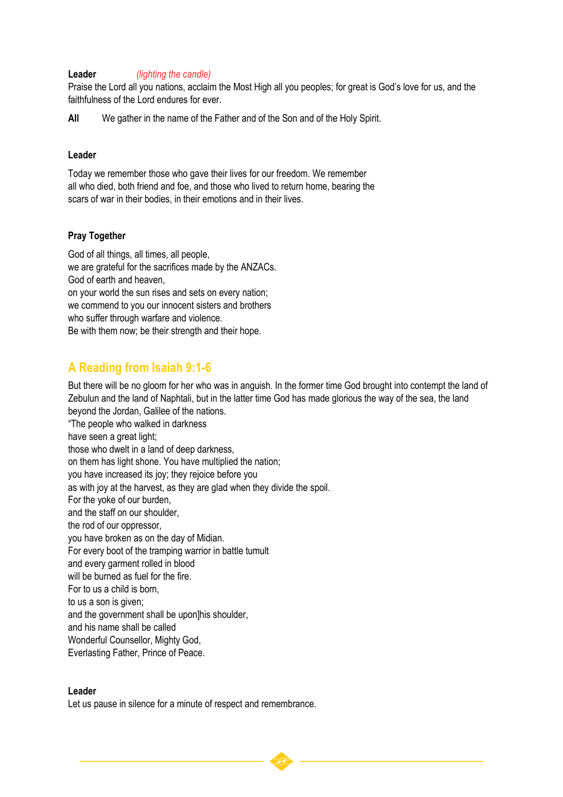#### **Leader** *(lighting the candle)*

Praise the Lord all you nations, acclaim the Most High all you peoples; for great is God's love for us, and the faithfulness of the Lord endures for ever.

**All** We gather in the name of the Father and of the Son and of the Holy Spirit.

#### **Leader**

Today we remember those who gave their lives for our freedom. We remember all who died, both friend and foe, and those who lived to return home, bearing the scars of war in their bodies, in their emotions and in their lives.

#### **Pray Together**

God of all things, all times, all people, we are grateful for the sacrifices made by the ANZACs. God of earth and heaven, on your world the sun rises and sets on every nation; we commend to you our innocent sisters and brothers who suffer through warfare and violence. Be with them now; be their strength and their hope.

# **A Reading from Isaiah 9:1-6**

But there will be no gloom for her who was in anguish. In the former time God brought into contempt the land of Zebulun and the land of Naphtali, but in the latter time God has made glorious the way of the sea, the land beyond the Jordan, Galilee of the nations.

"The people who walked in darkness have seen a great light; those who dwelt in a land of deep darkness, on them has light shone. You have multiplied the nation; you have increased its joy; they rejoice before you as with joy at the harvest, as they are glad when they divide the spoil. For the yoke of our burden, and the staff on our shoulder, the rod of our oppressor, you have broken as on the day of Midian. For every boot of the tramping warrior in battle tumult and every garment rolled in blood will be burned as fuel for the fire. For to us a child is born, to us a son is given; and the government shall be upon]his shoulder, and his name shall be called Wonderful Counsellor, Mighty God, Everlasting Father, Prince of Peace.

#### **Leader**

Let us pause in silence for a minute of respect and remembrance.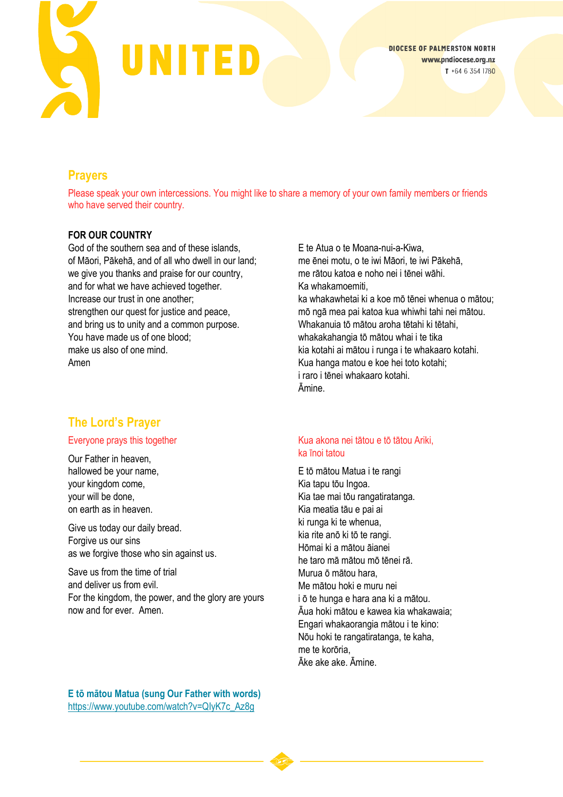

# **Prayers**

Please speak your own intercessions. You might like to share a memory of your own family members or friends who have served their country.

#### **FOR OUR COUNTRY**

God of the southern sea and of these islands, of Māori, Pākehā, and of all who dwell in our land; we give you thanks and praise for our country, and for what we have achieved together. Increase our trust in one another; strengthen our quest for justice and peace, and bring us to unity and a common purpose. You have made us of one blood; make us also of one mind. Amen

# **The Lord's Prayer**

#### Everyone prays this together

Our Father in heaven, hallowed be your name, your kingdom come, your will be done, on earth as in heaven.

Give us today our daily bread. Forgive us our sins as we forgive those who sin against us.

Save us from the time of trial and deliver us from evil. For the kingdom, the power, and the glory are yours now and for ever. Amen.

E te Atua o te Moana-nui-a-Kiwa, me ēnei motu, o te iwi Māori, te iwi Pākehā, me rātou katoa e noho nei i tēnei wāhi. Ka whakamoemiti, ka whakawhetai ki a koe mō tēnei whenua o mātou; mō ngā mea pai katoa kua whiwhi tahi nei mātou. Whakanuja tō mātou aroha tētahi ki tētahi. whakakahangia tō mātou whai i te tika kia kotahi ai mātou i runga i te whakaaro kotahi. Kua hanga matou e koe hei toto kotahi; i raro i tēnei whakaaro kotahi. Āmine.

#### Kua akona nei tātou e tō tātou Ariki, ka īnoi tatou

E tō mātou Matua i te rangi Kia tapu tōu Ingoa. Kia tae mai tōu rangatiratanga. Kia meatia tāu e pai ai ki runga ki te whenua, kia rite anō ki tō te rangi. Hōmai ki a mātou āianei he taro mā mātou mō tēnei rā. Murua ō mātou hara, Me mātou hoki e muru nei i ō te hunga e hara ana ki a mātou. Āua hoki mātou e kawea kia whakawaia; Engari whakaorangia mātou i te kino: Nōu hoki te rangatiratanga, te kaha, me te korōria, Āke ake ake. Āmine.

**E tō mātou Matua (sung Our Father with words)** [https://www.youtube.com/watch?v=QIyK7c\\_Az8g](https://www.youtube.com/watch?v=QIyK7c_Az8g)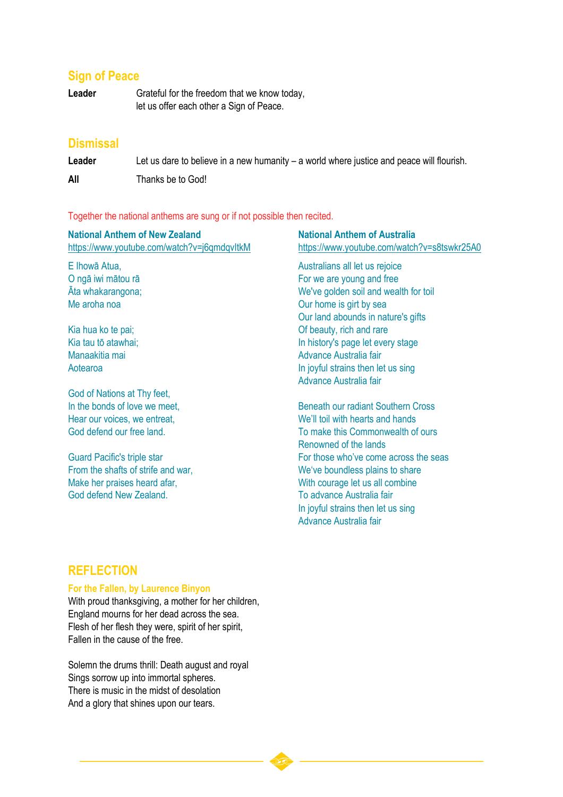## **Sign of Peace**

Leader Grateful for the freedom that we know today, let us offer each other a Sign of Peace.

## **Dismissal**

Leader Let us dare to believe in a new humanity – a world where justice and peace will flourish.

**All** Thanks be to God!

Together the national anthems are sung or if not possible then recited.

| <b>National Anthem of New Zealand</b><br>https://www.youtube.com/watch?v=j6qmdqvItkM | <b>National Anthem of Australia</b><br>https://www.youtube.com/watch?v=s8tswkr25A0 |
|--------------------------------------------------------------------------------------|------------------------------------------------------------------------------------|
| E Ihowā Atua,                                                                        | Australians all let us rejoice                                                     |
| O ngā iwi mātou rā                                                                   | For we are young and free                                                          |
| Ata whakarangona;                                                                    | We've golden soil and wealth for toil                                              |
| Me aroha noa                                                                         | Our home is girt by sea                                                            |
|                                                                                      | Our land abounds in nature's gifts                                                 |
| Kia hua ko te pai;                                                                   | Of beauty, rich and rare                                                           |
| Kia tau tō atawhai;                                                                  | In history's page let every stage                                                  |
| Manaakitia mai                                                                       | Advance Australia fair                                                             |
| Aotearoa                                                                             | In joyful strains then let us sing                                                 |
|                                                                                      | Advance Australia fair                                                             |
| God of Nations at Thy feet,                                                          |                                                                                    |
| In the bonds of love we meet,                                                        | <b>Beneath our radiant Southern Cross</b>                                          |
| Hear our voices, we entreat,                                                         | We'll toil with hearts and hands                                                   |
| God defend our free land.                                                            | To make this Commonwealth of ours                                                  |
|                                                                                      | Renowned of the lands                                                              |
| <b>Guard Pacific's triple star</b>                                                   | For those who've come across the seas                                              |
| From the shafts of strife and war,                                                   | We've boundless plains to share                                                    |
| Make her praises heard afar,                                                         | With courage let us all combine                                                    |
| God defend New Zealand.                                                              | To advance Australia fair                                                          |

In joyful strains then let us sing

Advance Australia fair

## **REFLECTION**

#### **For the Fallen, by Laurence Binyon**

With proud thanksgiving, a mother for her children, England mourns for her dead across the sea. Flesh of her flesh they were, spirit of her spirit, Fallen in the cause of the free.

Solemn the drums thrill: Death august and royal Sings sorrow up into immortal spheres. There is music in the midst of desolation And a glory that shines upon our tears.